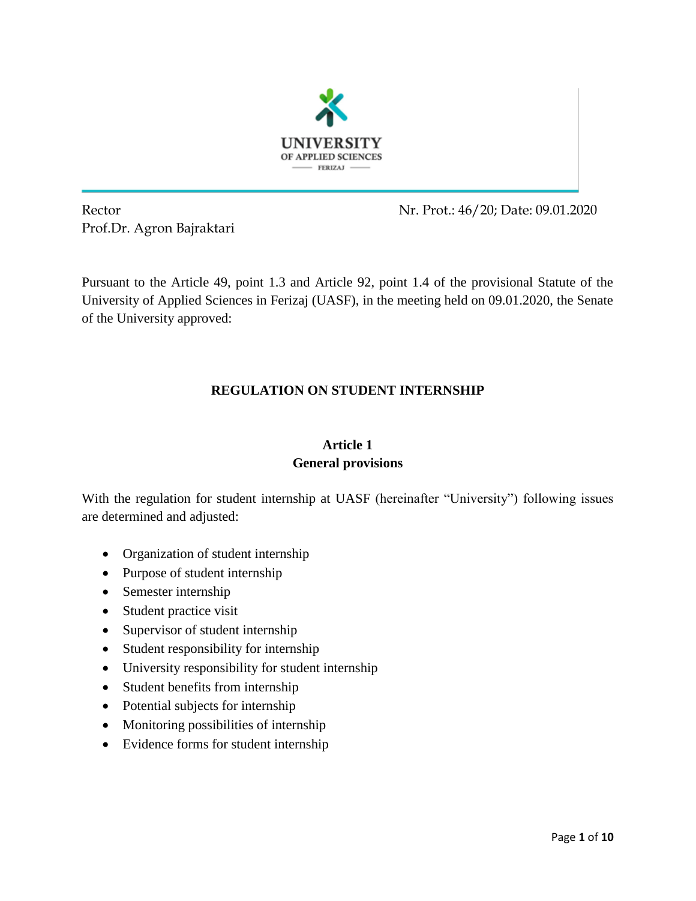

Prof.Dr. Agron Bajraktari

Rector Nr. Prot.: 46/20; Date: 09.01.2020

Pursuant to the Article 49, point 1.3 and Article 92, point 1.4 of the provisional Statute of the University of Applied Sciences in Ferizaj (UASF), in the meeting held on 09.01.2020, the Senate of the University approved:

# **REGULATION ON STUDENT INTERNSHIP**

# **Article 1 General provisions**

With the regulation for student internship at UASF (hereinafter "University") following issues are determined and adjusted:

- Organization of student internship
- Purpose of student internship
- Semester internship
- Student practice visit
- Supervisor of student internship
- Student responsibility for internship
- University responsibility for student internship
- Student benefits from internship
- Potential subjects for internship
- Monitoring possibilities of internship
- Evidence forms for student internship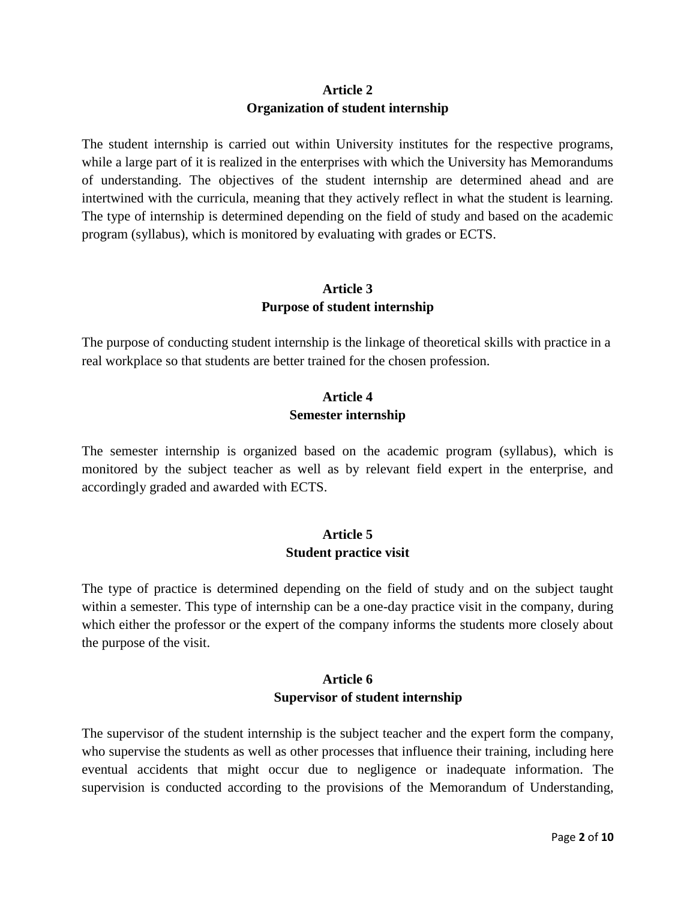# **Article 2 Organization of student internship**

The student internship is carried out within University institutes for the respective programs, while a large part of it is realized in the enterprises with which the University has Memorandums of understanding. The objectives of the student internship are determined ahead and are intertwined with the curricula, meaning that they actively reflect in what the student is learning. The type of internship is determined depending on the field of study and based on the academic program (syllabus), which is monitored by evaluating with grades or ECTS.

# **Article 3 Purpose of student internship**

The purpose of conducting student internship is the linkage of theoretical skills with practice in a real workplace so that students are better trained for the chosen profession.

# **Article 4 Semester internship**

The semester internship is organized based on the academic program (syllabus), which is monitored by the subject teacher as well as by relevant field expert in the enterprise, and accordingly graded and awarded with ECTS.

## **Article 5 Student practice visit**

The type of practice is determined depending on the field of study and on the subject taught within a semester. This type of internship can be a one-day practice visit in the company, during which either the professor or the expert of the company informs the students more closely about the purpose of the visit.

# **Article 6 Supervisor of student internship**

The supervisor of the student internship is the subject teacher and the expert form the company, who supervise the students as well as other processes that influence their training, including here eventual accidents that might occur due to negligence or inadequate information. The supervision is conducted according to the provisions of the Memorandum of Understanding,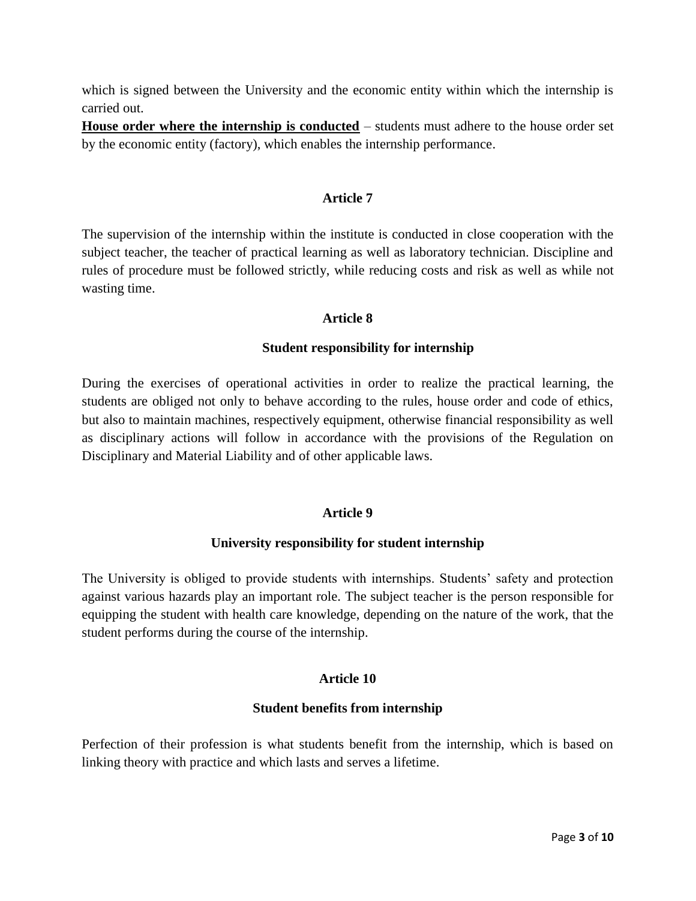which is signed between the University and the economic entity within which the internship is carried out.

**House order where the internship is conducted** – students must adhere to the house order set by the economic entity (factory), which enables the internship performance.

#### **Article 7**

The supervision of the internship within the institute is conducted in close cooperation with the subject teacher, the teacher of practical learning as well as laboratory technician. Discipline and rules of procedure must be followed strictly, while reducing costs and risk as well as while not wasting time.

#### **Article 8**

#### **Student responsibility for internship**

During the exercises of operational activities in order to realize the practical learning, the students are obliged not only to behave according to the rules, house order and code of ethics, but also to maintain machines, respectively equipment, otherwise financial responsibility as well as disciplinary actions will follow in accordance with the provisions of the Regulation on Disciplinary and Material Liability and of other applicable laws.

#### **Article 9**

#### **University responsibility for student internship**

The University is obliged to provide students with internships. Students' safety and protection against various hazards play an important role. The subject teacher is the person responsible for equipping the student with health care knowledge, depending on the nature of the work, that the student performs during the course of the internship.

## **Article 10**

#### **Student benefits from internship**

Perfection of their profession is what students benefit from the internship, which is based on linking theory with practice and which lasts and serves a lifetime.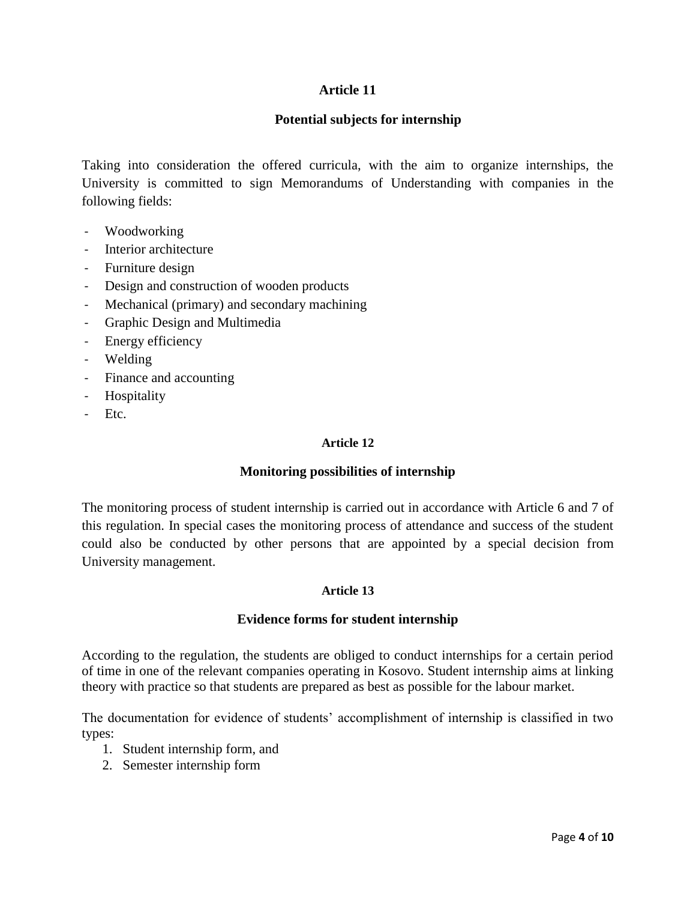## **Article 11**

## **Potential subjects for internship**

Taking into consideration the offered curricula, with the aim to organize internships, the University is committed to sign Memorandums of Understanding with companies in the following fields:

- Woodworking
- Interior architecture
- Furniture design
- Design and construction of wooden products
- Mechanical (primary) and secondary machining
- Graphic Design and Multimedia
- Energy efficiency
- Welding
- Finance and accounting
- Hospitality
- Etc.

#### **Article 12**

## **Monitoring possibilities of internship**

The monitoring process of student internship is carried out in accordance with Article 6 and 7 of this regulation. In special cases the monitoring process of attendance and success of the student could also be conducted by other persons that are appointed by a special decision from University management.

## **Article 13**

## **Evidence forms for student internship**

According to the regulation, the students are obliged to conduct internships for a certain period of time in one of the relevant companies operating in Kosovo. Student internship aims at linking theory with practice so that students are prepared as best as possible for the labour market.

The documentation for evidence of students' accomplishment of internship is classified in two types:

- 1. Student internship form, and
- 2. Semester internship form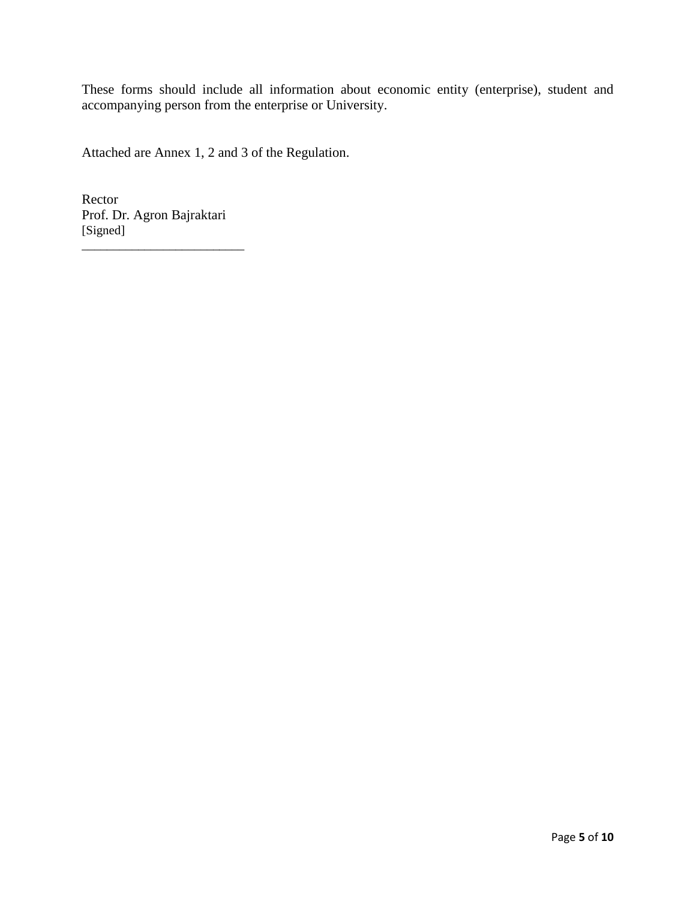These forms should include all information about economic entity (enterprise), student and accompanying person from the enterprise or University.

Attached are Annex 1, 2 and 3 of the Regulation.

Rector Prof. Dr. Agron Bajraktari [Signed]

\_\_\_\_\_\_\_\_\_\_\_\_\_\_\_\_\_\_\_\_\_\_\_\_\_\_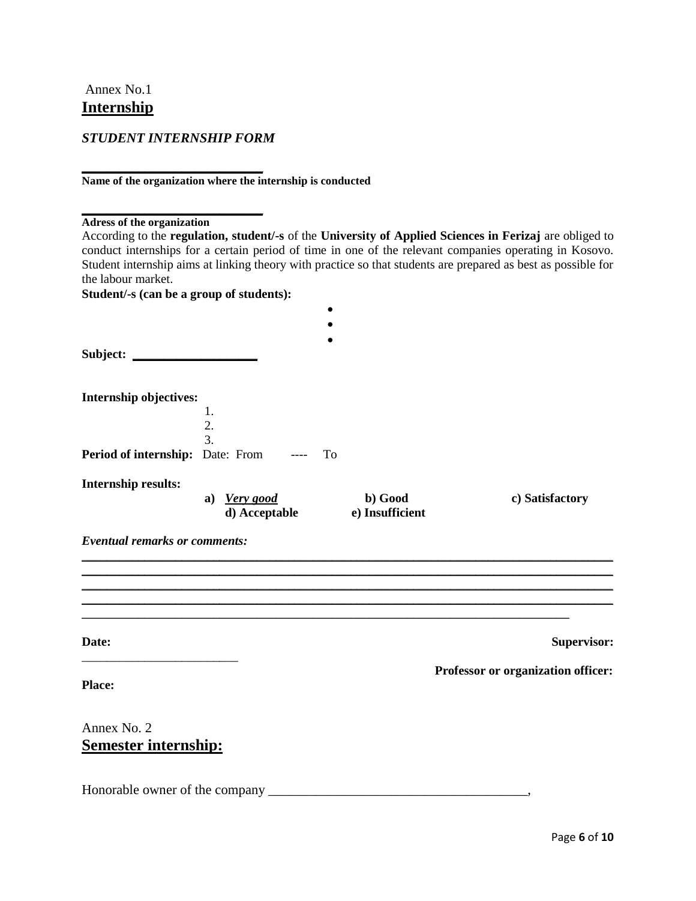Annex No.1 **Internship**

*STUDENT INTERNSHIP FORM* 

**\_\_\_\_\_\_\_\_\_\_\_\_\_\_\_\_\_\_\_\_\_\_\_\_\_\_\_\_\_**

**Name of the organization where the internship is conducted**

**\_\_\_\_\_\_\_\_\_\_\_\_\_\_\_\_\_\_\_\_\_\_\_\_\_\_\_\_\_ Adress of the organization**

|                                              |                  |                 | According to the regulation, student/-s of the University of Applied Sciences in Ferizaj are obliged to                                                                                                                 |
|----------------------------------------------|------------------|-----------------|-------------------------------------------------------------------------------------------------------------------------------------------------------------------------------------------------------------------------|
|                                              |                  |                 | conduct internships for a certain period of time in one of the relevant companies operating in Kosovo.<br>Student internship aims at linking theory with practice so that students are prepared as best as possible for |
| the labour market.                           |                  |                 |                                                                                                                                                                                                                         |
| Student/-s (can be a group of students):     |                  |                 |                                                                                                                                                                                                                         |
|                                              |                  |                 |                                                                                                                                                                                                                         |
|                                              |                  |                 |                                                                                                                                                                                                                         |
|                                              |                  |                 |                                                                                                                                                                                                                         |
| Subject:                                     |                  |                 |                                                                                                                                                                                                                         |
|                                              |                  |                 |                                                                                                                                                                                                                         |
| Internship objectives:                       |                  |                 |                                                                                                                                                                                                                         |
|                                              | 1.               |                 |                                                                                                                                                                                                                         |
|                                              | 2.               |                 |                                                                                                                                                                                                                         |
|                                              | $\overline{3}$ . |                 |                                                                                                                                                                                                                         |
| <b>Period of internship:</b> Date: From ---- |                  | To              |                                                                                                                                                                                                                         |
| Internship results:                          |                  |                 |                                                                                                                                                                                                                         |
|                                              | a) Very good     | b) Good         | c) Satisfactory                                                                                                                                                                                                         |
|                                              | d) Acceptable    | e) Insufficient |                                                                                                                                                                                                                         |
| <b>Eventual remarks or comments:</b>         |                  |                 |                                                                                                                                                                                                                         |
|                                              |                  |                 |                                                                                                                                                                                                                         |
|                                              |                  |                 |                                                                                                                                                                                                                         |
|                                              |                  |                 |                                                                                                                                                                                                                         |
|                                              |                  |                 |                                                                                                                                                                                                                         |
|                                              |                  |                 |                                                                                                                                                                                                                         |
| Date:                                        |                  |                 | Supervisor:                                                                                                                                                                                                             |
|                                              |                  |                 |                                                                                                                                                                                                                         |
|                                              |                  |                 | Professor or organization officer:                                                                                                                                                                                      |
| Place:                                       |                  |                 |                                                                                                                                                                                                                         |
|                                              |                  |                 |                                                                                                                                                                                                                         |
| Annex No. 2                                  |                  |                 |                                                                                                                                                                                                                         |
| <u>Semester internship:</u>                  |                  |                 |                                                                                                                                                                                                                         |
|                                              |                  |                 |                                                                                                                                                                                                                         |
|                                              |                  |                 |                                                                                                                                                                                                                         |
| Honorable owner of the company               |                  |                 |                                                                                                                                                                                                                         |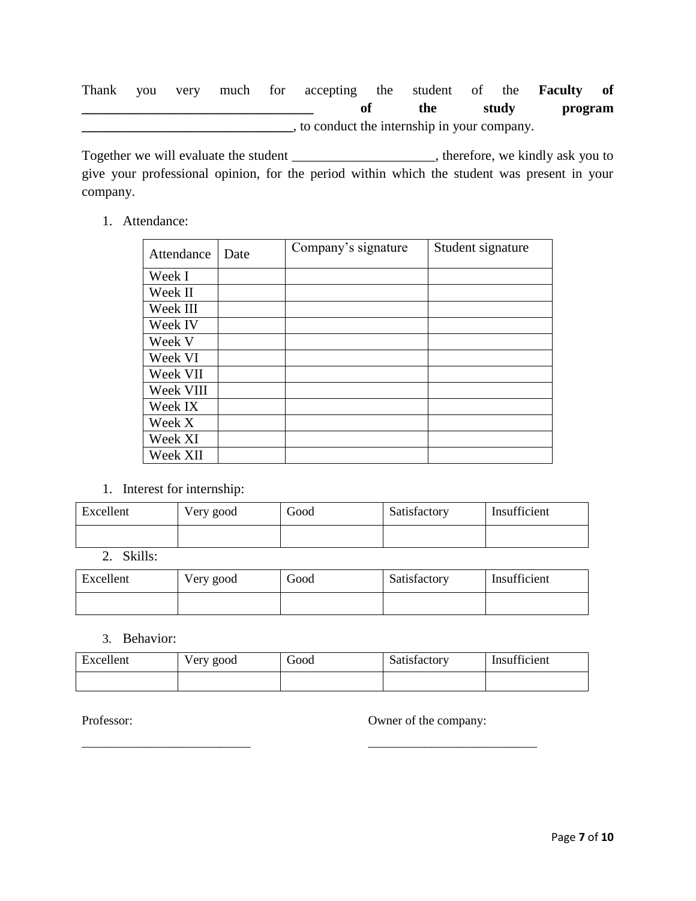Thank you very much for accepting the student of the **Faculty of \_\_\_\_\_\_\_\_\_\_\_\_\_\_\_\_\_\_\_\_\_\_\_\_\_\_\_\_\_\_\_\_\_\_ of the study program \_\_\_\_\_\_\_\_\_\_\_\_\_\_\_\_\_\_\_\_\_\_\_\_\_\_\_\_\_\_\_**, to conduct the internship in your company.

Together we will evaluate the student \_\_\_\_\_\_\_\_\_\_\_\_\_\_\_\_\_\_\_\_\_, therefore, we kindly ask you to give your professional opinion, for the period within which the student was present in your company.

1. Attendance:

| Attendance | Date | Company's signature | Student signature |
|------------|------|---------------------|-------------------|
| Week I     |      |                     |                   |
| Week II    |      |                     |                   |
| Week III   |      |                     |                   |
| Week IV    |      |                     |                   |
| Week V     |      |                     |                   |
| Week VI    |      |                     |                   |
| Week VII   |      |                     |                   |
| Week VIII  |      |                     |                   |
| Week IX    |      |                     |                   |
| Week X     |      |                     |                   |
| Week XI    |      |                     |                   |
| Week XII   |      |                     |                   |

1. Interest for internship:

| Excellent | Very good | Good | Satisfactory | Insufficient |
|-----------|-----------|------|--------------|--------------|
|           |           |      |              |              |

2. Skills:

| Excellent | Very good | Good | Satisfactory | Insufficient |
|-----------|-----------|------|--------------|--------------|
|           |           |      |              |              |

## 3. Behavior:

| Excellent | Very good | Good | Satisfactory | Insufficient |
|-----------|-----------|------|--------------|--------------|
|           |           |      |              |              |

\_\_\_\_\_\_\_\_\_\_\_\_\_\_\_\_\_\_\_\_\_\_\_\_\_\_\_ \_\_\_\_\_\_\_\_\_\_\_\_\_\_\_\_\_\_\_\_\_\_\_\_\_\_\_

Professor: Owner of the company: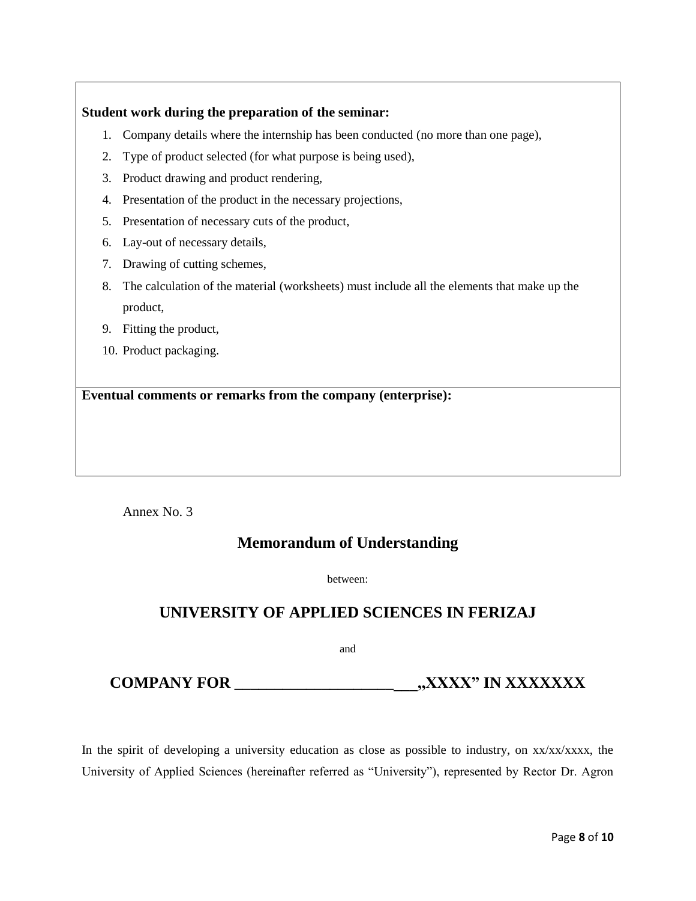#### **Student work during the preparation of the seminar:**

- 1. Company details where the internship has been conducted (no more than one page),
- 2. Type of product selected (for what purpose is being used),
- 3. Product drawing and product rendering,
- 4. Presentation of the product in the necessary projections,
- 5. Presentation of necessary cuts of the product,
- 6. Lay-out of necessary details,
- 7. Drawing of cutting schemes,
- 8. The calculation of the material (worksheets) must include all the elements that make up the product,
- 9. Fitting the product,
- 10. Product packaging.

**Eventual comments or remarks from the company (enterprise):**

Annex No. 3

# **Memorandum of Understanding**

between:

# **UNIVERSITY OF APPLIED SCIENCES IN FERIZAJ**

and

# **COMPANY FOR \_\_\_\_\_\_\_\_\_\_\_\_\_\_\_\_\_\_\_\_\_\_\_,,XXXX" IN XXXXXXX**

In the spirit of developing a university education as close as possible to industry, on  $xx/xxxxx$ , the University of Applied Sciences (hereinafter referred as "University"), represented by Rector Dr. Agron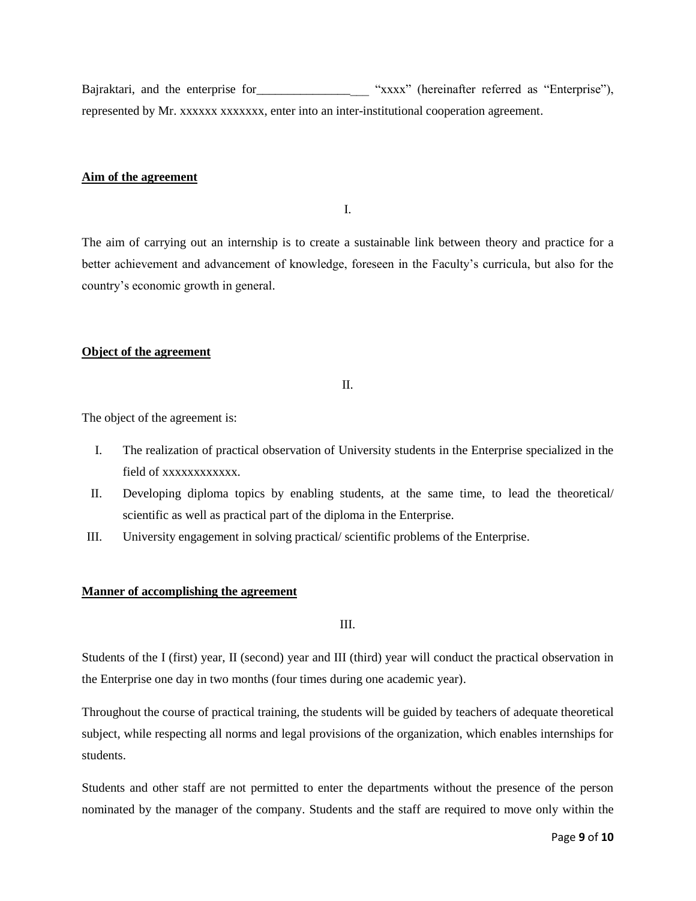Bajraktari, and the enterprise for "xxxx" (hereinafter referred as "Enterprise"), represented by Mr. xxxxxx xxxxxxx, enter into an inter-institutional cooperation agreement.

#### **Aim of the agreement**

I.

The aim of carrying out an internship is to create a sustainable link between theory and practice for a better achievement and advancement of knowledge, foreseen in the Faculty's curricula, but also for the country's economic growth in general.

#### **Object of the agreement**

II.

The object of the agreement is:

- I. The realization of practical observation of University students in the Enterprise specialized in the field of xxxxxxxxxxx.
- II. Developing diploma topics by enabling students, at the same time, to lead the theoretical/ scientific as well as practical part of the diploma in the Enterprise.
- III. University engagement in solving practical/ scientific problems of the Enterprise.

#### **Manner of accomplishing the agreement**

III.

Students of the I (first) year, II (second) year and III (third) year will conduct the practical observation in the Enterprise one day in two months (four times during one academic year).

Throughout the course of practical training, the students will be guided by teachers of adequate theoretical subject, while respecting all norms and legal provisions of the organization, which enables internships for students.

Students and other staff are not permitted to enter the departments without the presence of the person nominated by the manager of the company. Students and the staff are required to move only within the